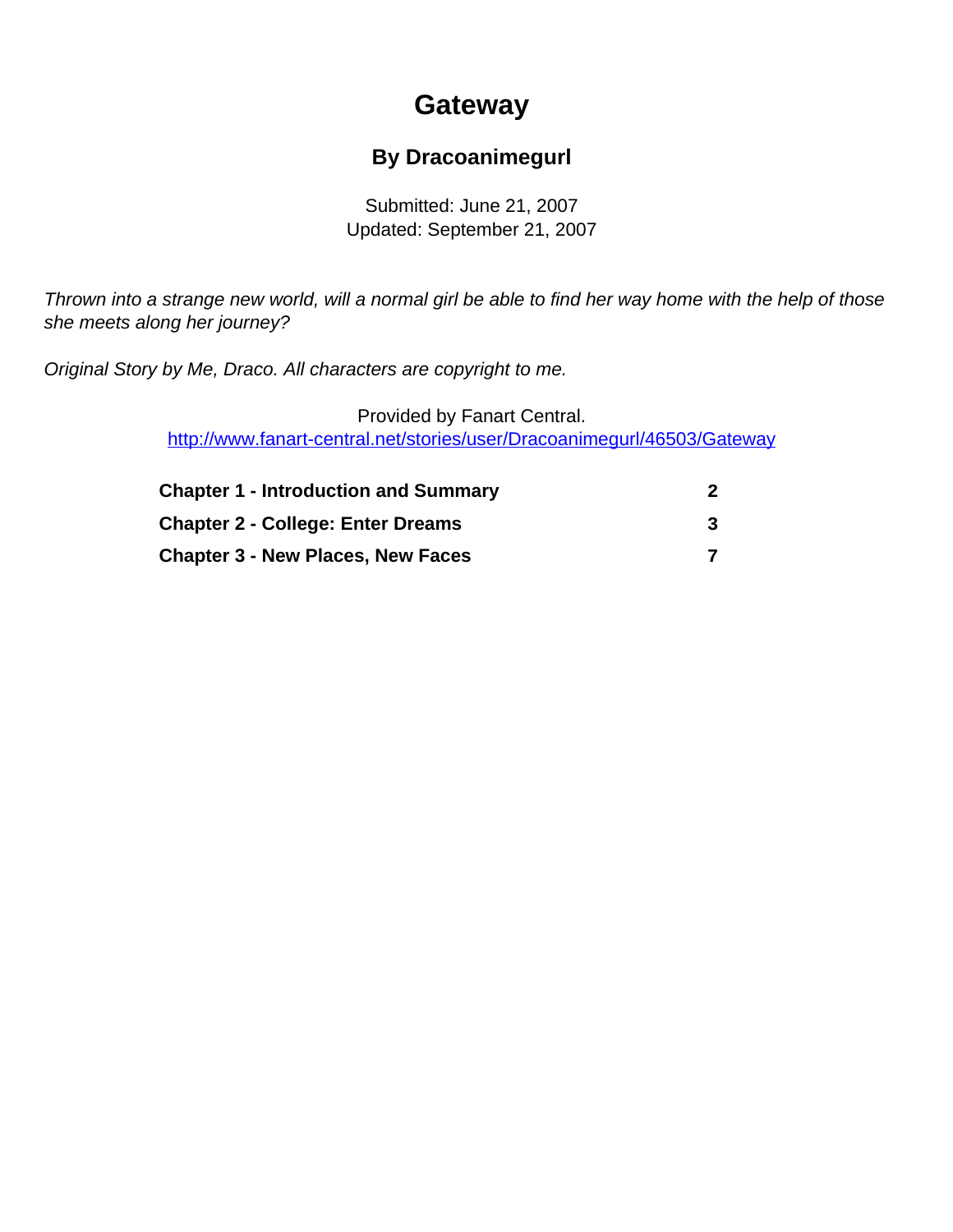# **Gateway**

### **By Dracoanimegurl**

Submitted: June 21, 2007 Updated: September 21, 2007

<span id="page-0-0"></span>Thrown into a strange new world, will a normal girl be able to find her way home with the help of those she meets along her journey?

Original Story by Me, Draco. All characters are copyright to me.

Provided by Fanart Central. [http://www.fanart-central.net/stories/user/Dracoanimegurl/46503/Gateway](#page-0-0)

| <b>Chapter 1 - Introduction and Summary</b> |  |
|---------------------------------------------|--|
| <b>Chapter 2 - College: Enter Dreams</b>    |  |
| <b>Chapter 3 - New Places, New Faces</b>    |  |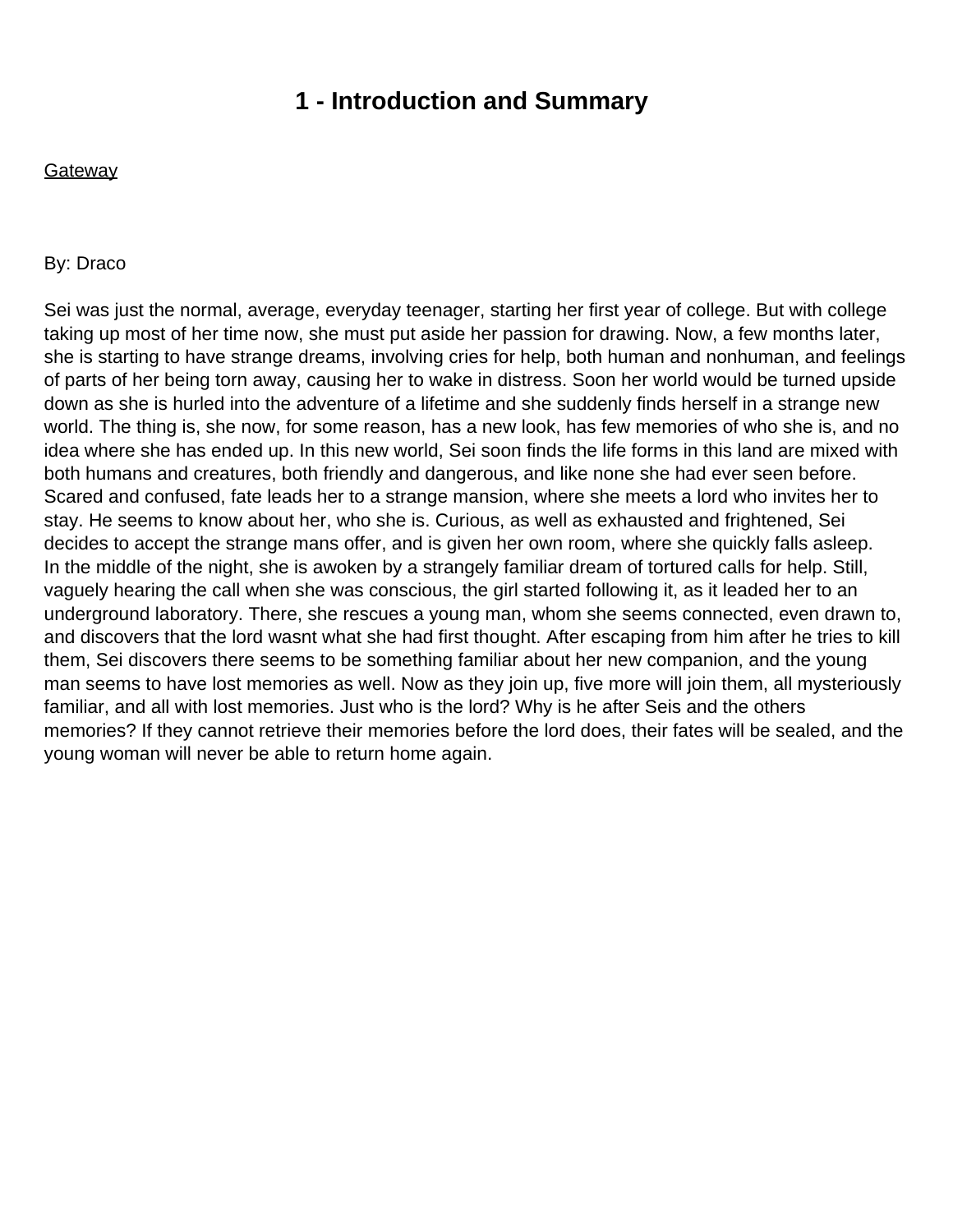### **1 - Introduction and Summary**

<span id="page-1-0"></span>**Gateway** 

#### By: Draco

Sei was just the normal, average, everyday teenager, starting her first year of college. But with college taking up most of her time now, she must put aside her passion for drawing. Now, a few months later, she is starting to have strange dreams, involving cries for help, both human and nonhuman, and feelings of parts of her being torn away, causing her to wake in distress. Soon her world would be turned upside down as she is hurled into the adventure of a lifetime and she suddenly finds herself in a strange new world. The thing is, she now, for some reason, has a new look, has few memories of who she is, and no idea where she has ended up. In this new world, Sei soon finds the life forms in this land are mixed with both humans and creatures, both friendly and dangerous, and like none she had ever seen before. Scared and confused, fate leads her to a strange mansion, where she meets a lord who invites her to stay. He seems to know about her, who she is. Curious, as well as exhausted and frightened, Sei decides to accept the strange man s offer, and is given her own room, where she quickly falls asleep. In the middle of the night, she is awoken by a strangely familiar dream of tortured calls for help. Still, vaguely hearing the call when she was conscious, the girl started following it, as it leaded her to an underground laboratory. There, she rescues a young man, whom she seems connected, even drawn to, and discovers that the lord wasn t what she had first thought. After escaping from him after he tries to kill them, Sei discovers there seems to be something familiar about her new companion, and the young man seems to have lost memories as well. Now as they join up, five more will join them, all mysteriously familiar, and all with lost memories. Just who is the lord? Why is he after Sei s and the others memories? If they cannot retrieve their memories before the lord does, their fates will be sealed, and the young woman will never be able to return home again.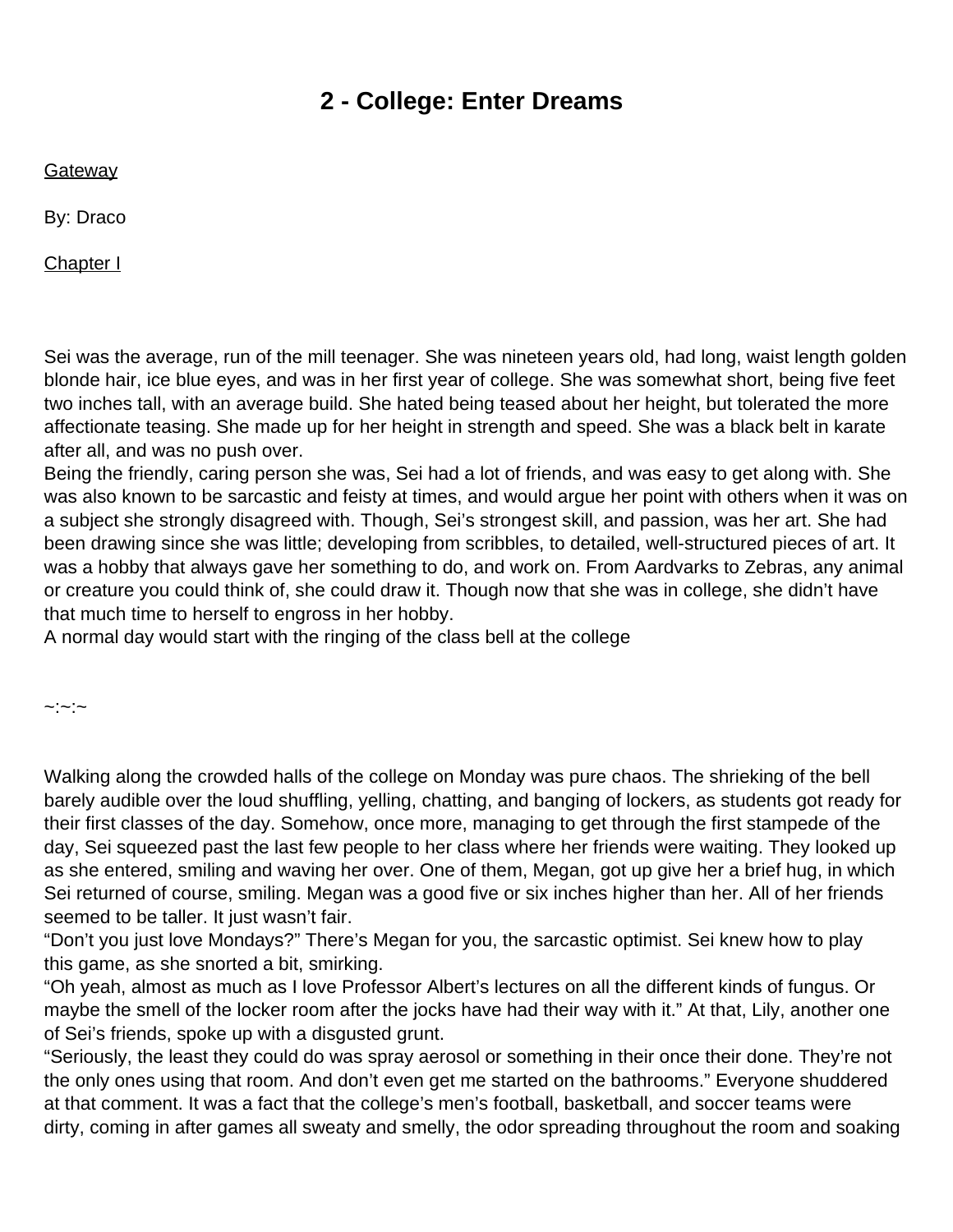## **2 - College: Enter Dreams**

<span id="page-2-0"></span>**Gateway** 

By: Draco

Chapter I

Sei was the average, run of the mill teenager. She was nineteen years old, had long, waist length golden blonde hair, ice blue eyes, and was in her first year of college. She was somewhat short, being five feet two inches tall, with an average build. She hated being teased about her height, but tolerated the more affectionate teasing. She made up for her height in strength and speed. She was a black belt in karate after all, and was no push over.

Being the friendly, caring person she was, Sei had a lot of friends, and was easy to get along with. She was also known to be sarcastic and feisty at times, and would argue her point with others when it was on a subject she strongly disagreed with. Though, Sei's strongest skill, and passion, was her art. She had been drawing since she was little; developing from scribbles, to detailed, well-structured pieces of art. It was a hobby that always gave her something to do, and work on. From Aardvarks to Zebras, any animal or creature you could think of, she could draw it. Though now that she was in college, she didn't have that much time to herself to engross in her hobby.

A normal day would start with the ringing of the class bell at the college

 $\sim$ : $\sim$ : $\sim$ 

Walking along the crowded halls of the college on Monday was pure chaos. The shrieking of the bell barely audible over the loud shuffling, yelling, chatting, and banging of lockers, as students got ready for their first classes of the day. Somehow, once more, managing to get through the first stampede of the day, Sei squeezed past the last few people to her class where her friends were waiting. They looked up as she entered, smiling and waving her over. One of them, Megan, got up give her a brief hug, in which Sei returned of course, smiling. Megan was a good five or six inches higher than her. All of her friends seemed to be taller. It just wasn't fair.

"Don't you just love Mondays?" There's Megan for you, the sarcastic optimist. Sei knew how to play this game, as she snorted a bit, smirking.

"Oh yeah, almost as much as I love Professor Albert's lectures on all the different kinds of fungus. Or maybe the smell of the locker room after the jocks have had their way with it." At that, Lily, another one of Sei's friends, spoke up with a disgusted grunt.

"Seriously, the least they could do was spray aerosol or something in their once their done. They're not the only ones using that room. And don't even get me started on the bathrooms." Everyone shuddered at that comment. It was a fact that the college's men's football, basketball, and soccer teams were dirty, coming in after games all sweaty and smelly, the odor spreading throughout the room and soaking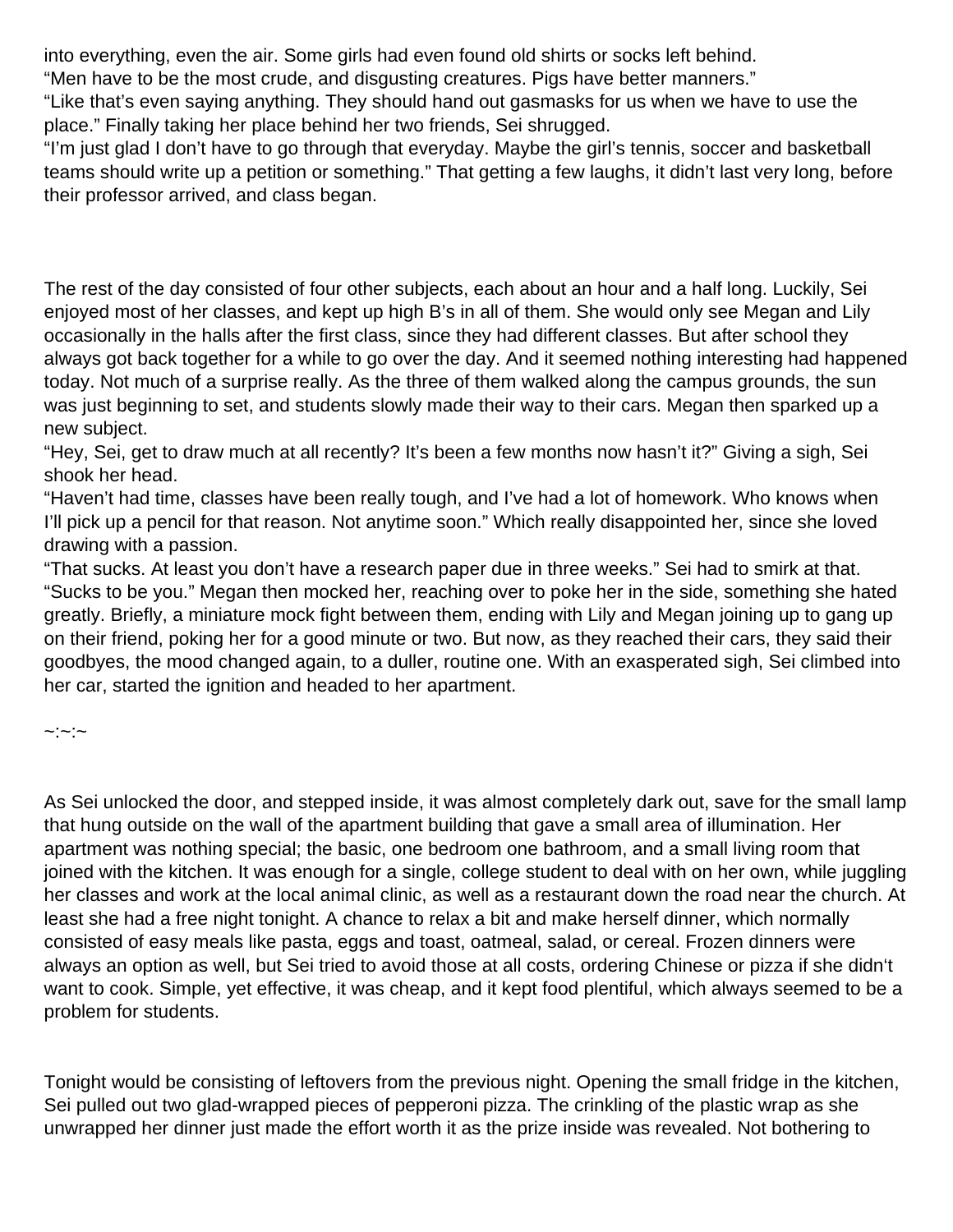into everything, even the air. Some girls had even found old shirts or socks left behind.

"Men have to be the most crude, and disgusting creatures. Pigs have better manners."

"Like that's even saying anything. They should hand out gasmasks for us when we have to use the place." Finally taking her place behind her two friends, Sei shrugged.

"I'm just glad I don't have to go through that everyday. Maybe the girl's tennis, soccer and basketball teams should write up a petition or something." That getting a few laughs, it didn't last very long, before their professor arrived, and class began.

The rest of the day consisted of four other subjects, each about an hour and a half long. Luckily, Sei enjoyed most of her classes, and kept up high B's in all of them. She would only see Megan and Lily occasionally in the halls after the first class, since they had different classes. But after school they always got back together for a while to go over the day. And it seemed nothing interesting had happened today. Not much of a surprise really. As the three of them walked along the campus grounds, the sun was just beginning to set, and students slowly made their way to their cars. Megan then sparked up a new subject.

"Hey, Sei, get to draw much at all recently? It's been a few months now hasn't it?" Giving a sigh, Sei shook her head.

"Haven't had time, classes have been really tough, and I've had a lot of homework. Who knows when I'll pick up a pencil for that reason. Not anytime soon." Which really disappointed her, since she loved drawing with a passion.

"That sucks. At least you don't have a research paper due in three weeks." Sei had to smirk at that. "Sucks to be you." Megan then mocked her, reaching over to poke her in the side, something she hated greatly. Briefly, a miniature mock fight between them, ending with Lily and Megan joining up to gang up on their friend, poking her for a good minute or two. But now, as they reached their cars, they said their goodbyes, the mood changed again, to a duller, routine one. With an exasperated sigh, Sei climbed into her car, started the ignition and headed to her apartment.

#### $\sim$ : $\sim$ : $\sim$

As Sei unlocked the door, and stepped inside, it was almost completely dark out, save for the small lamp that hung outside on the wall of the apartment building that gave a small area of illumination. Her apartment was nothing special; the basic, one bedroom one bathroom, and a small living room that joined with the kitchen. It was enough for a single, college student to deal with on her own, while juggling her classes and work at the local animal clinic, as well as a restaurant down the road near the church. At least she had a free night tonight. A chance to relax a bit and make herself dinner, which normally consisted of easy meals like pasta, eggs and toast, oatmeal, salad, or cereal. Frozen dinners were always an option as well, but Sei tried to avoid those at all costs, ordering Chinese or pizza if she didn't want to cook. Simple, yet effective, it was cheap, and it kept food plentiful, which always seemed to be a problem for students.

Tonight would be consisting of leftovers from the previous night. Opening the small fridge in the kitchen, Sei pulled out two glad-wrapped pieces of pepperoni pizza. The crinkling of the plastic wrap as she unwrapped her dinner just made the effort worth it as the prize inside was revealed. Not bothering to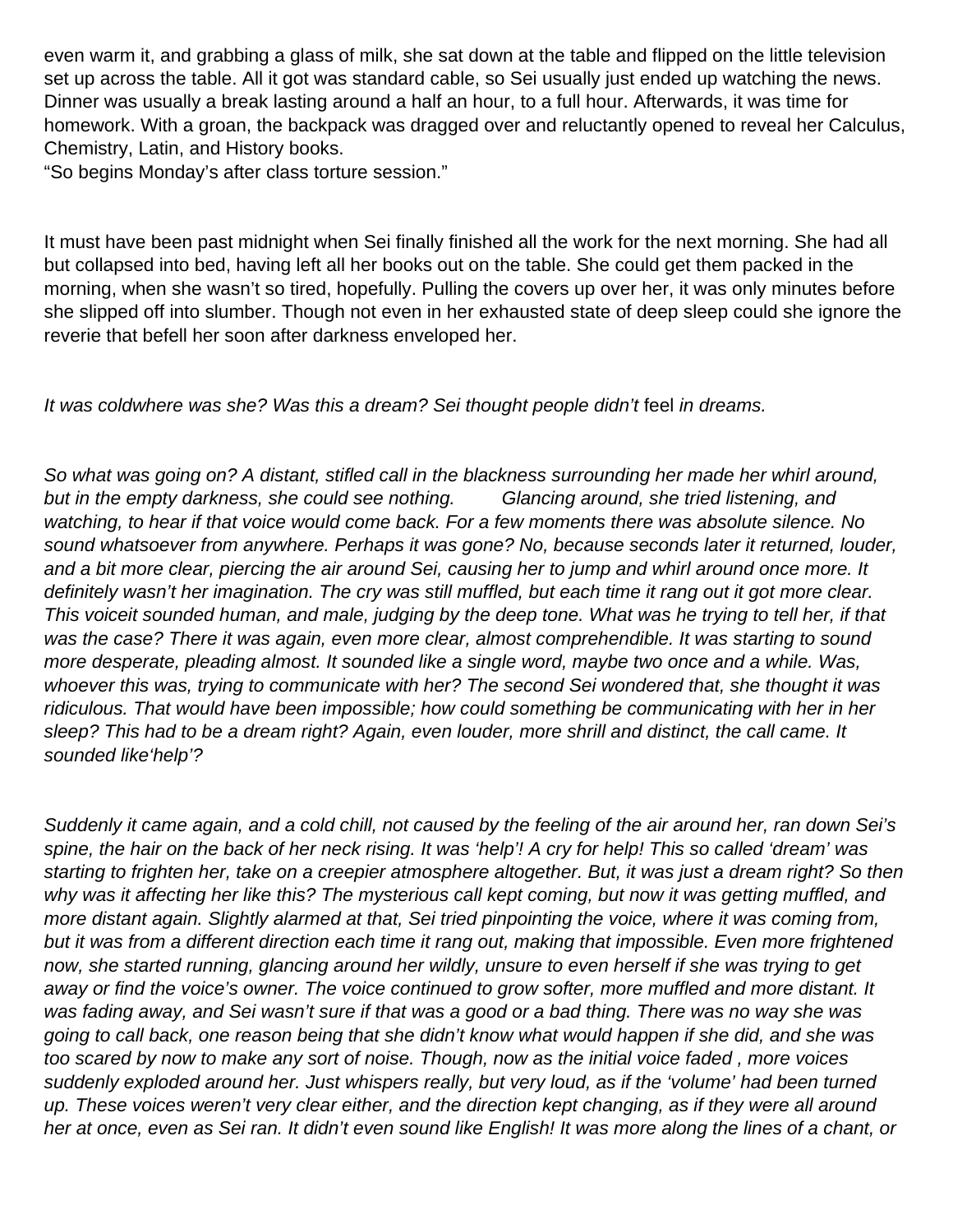even warm it, and grabbing a glass of milk, she sat down at the table and flipped on the little television set up across the table. All it got was standard cable, so Sei usually just ended up watching the news. Dinner was usually a break lasting around a half an hour, to a full hour. Afterwards, it was time for homework. With a groan, the backpack was dragged over and reluctantly opened to reveal her Calculus, Chemistry, Latin, and History books.

"So begins Monday's after class torture session."

It must have been past midnight when Sei finally finished all the work for the next morning. She had all but collapsed into bed, having left all her books out on the table. She could get them packed in the morning, when she wasn't so tired, hopefully. Pulling the covers up over her, it was only minutes before she slipped off into slumber. Though not even in her exhausted state of deep sleep could she ignore the reverie that befell her soon after darkness enveloped her.

#### It was coldwhere was she? Was this a dream? Sei thought people didn't feel in dreams.

So what was going on? A distant, stifled call in the blackness surrounding her made her whirl around, but in the empty darkness, she could see nothing. Glancing around, she tried listening, and watching, to hear if that voice would come back. For a few moments there was absolute silence. No sound whatsoever from anywhere. Perhaps it was gone? No, because seconds later it returned, louder, and a bit more clear, piercing the air around Sei, causing her to jump and whirl around once more. It definitely wasn't her imagination. The cry was still muffled, but each time it rang out it got more clear. This voiceit sounded human, and male, judging by the deep tone. What was he trying to tell her, if that was the case? There it was again, even more clear, almost comprehendible. It was starting to sound more desperate, pleading almost. It sounded like a single word, maybe two once and a while. Was, whoever this was, trying to communicate with her? The second Sei wondered that, she thought it was ridiculous. That would have been impossible; how could something be communicating with her in her sleep? This had to be a dream right? Again, even louder, more shrill and distinct, the call came. It sounded like'help'?

Suddenly it came again, and a cold chill, not caused by the feeling of the air around her, ran down Sei's spine, the hair on the back of her neck rising. It was 'help'! A cry for help! This so called 'dream' was starting to frighten her, take on a creepier atmosphere altogether. But, it was just a dream right? So then why was it affecting her like this? The mysterious call kept coming, but now it was getting muffled, and more distant again. Slightly alarmed at that, Sei tried pinpointing the voice, where it was coming from, but it was from a different direction each time it rang out, making that impossible. Even more frightened now, she started running, glancing around her wildly, unsure to even herself if she was trying to get away or find the voice's owner. The voice continued to grow softer, more muffled and more distant. It was fading away, and Sei wasn't sure if that was a good or a bad thing. There was no way she was going to call back, one reason being that she didn't know what would happen if she did, and she was too scared by now to make any sort of noise. Though, now as the initial voice faded , more voices suddenly exploded around her. Just whispers really, but very loud, as if the 'volume' had been turned up. These voices weren't very clear either, and the direction kept changing, as if they were all around her at once, even as Sei ran. It didn't even sound like English! It was more along the lines of a chant, or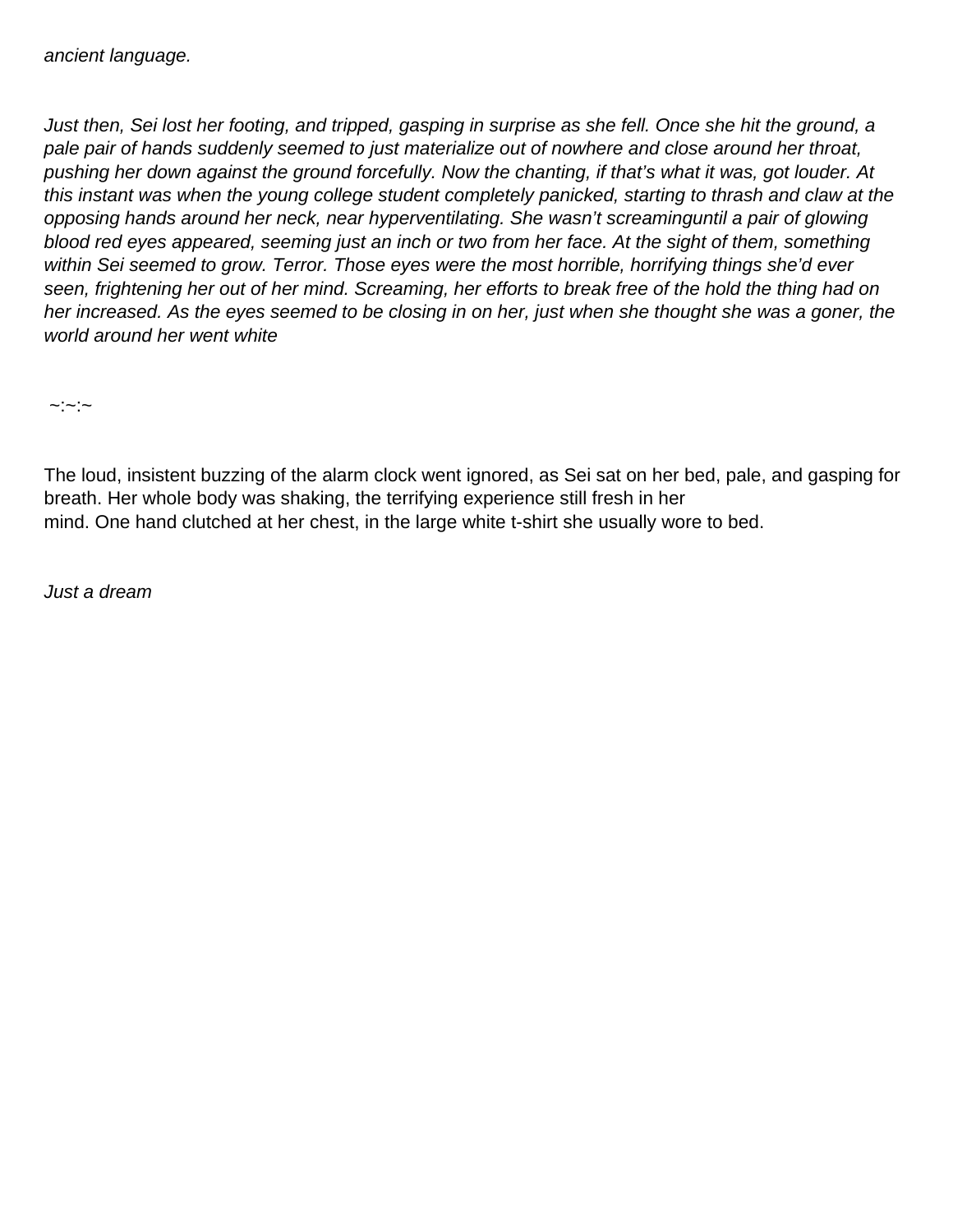Just then, Sei lost her footing, and tripped, gasping in surprise as she fell. Once she hit the ground, a pale pair of hands suddenly seemed to just materialize out of nowhere and close around her throat, pushing her down against the ground forcefully. Now the chanting, if that's what it was, got louder. At this instant was when the young college student completely panicked, starting to thrash and claw at the opposing hands around her neck, near hyperventilating. She wasn't screaminguntil a pair of glowing blood red eyes appeared, seeming just an inch or two from her face. At the sight of them, something within Sei seemed to grow. Terror. Those eyes were the most horrible, horrifying things she'd ever seen, frightening her out of her mind. Screaming, her efforts to break free of the hold the thing had on her increased. As the eyes seemed to be closing in on her, just when she thought she was a goner, the world around her went white

 $\sim$ : $\sim$ : $\sim$ 

The loud, insistent buzzing of the alarm clock went ignored, as Sei sat on her bed, pale, and gasping for breath. Her whole body was shaking, the terrifying experience still fresh in her mind. One hand clutched at her chest, in the large white t-shirt she usually wore to bed.

Just a dream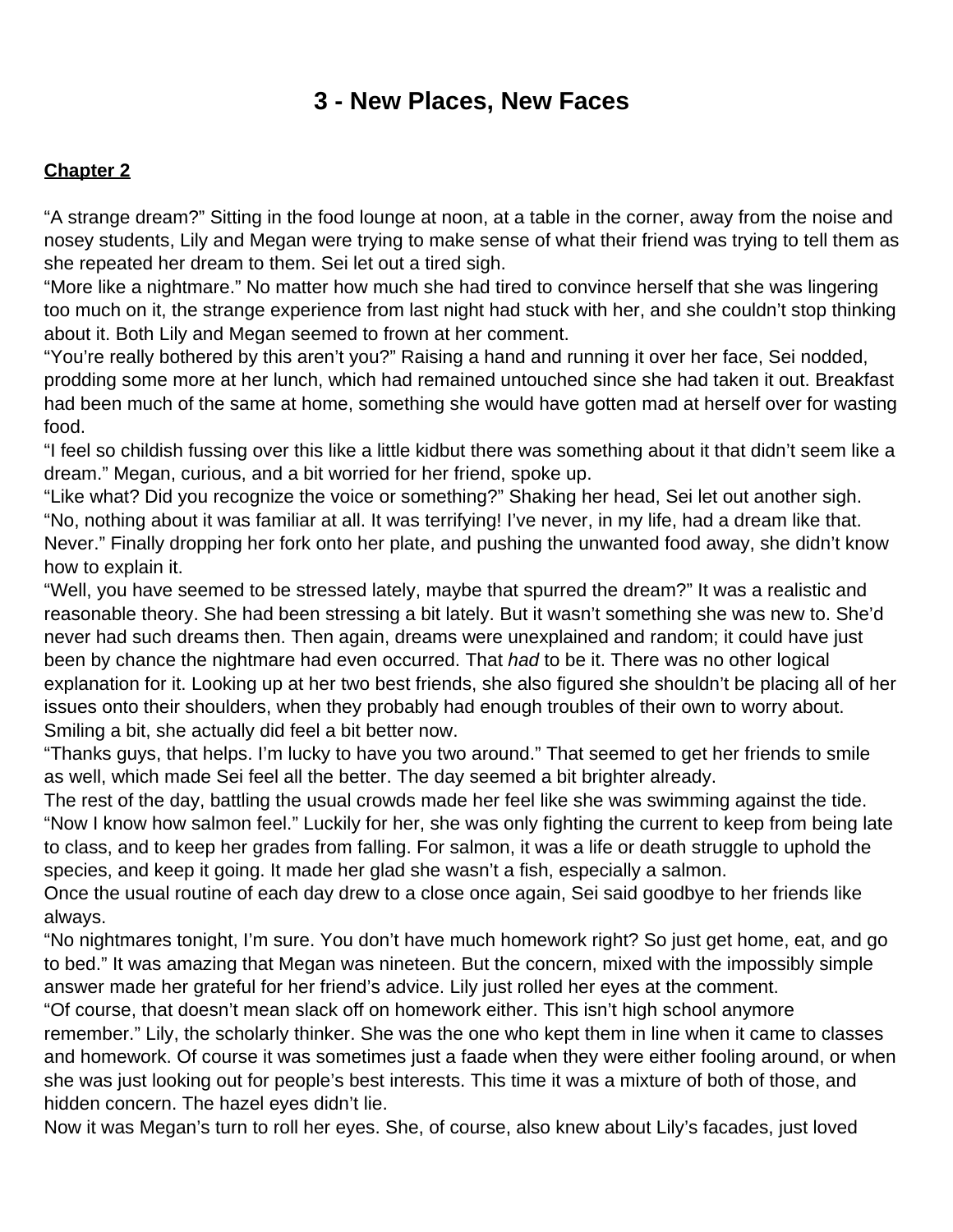### **3 - New Places, New Faces**

### <span id="page-6-0"></span>**Chapter 2**

"A strange dream?" Sitting in the food lounge at noon, at a table in the corner, away from the noise and nosey students, Lily and Megan were trying to make sense of what their friend was trying to tell them as she repeated her dream to them. Sei let out a tired sigh.

"More like a nightmare." No matter how much she had tired to convince herself that she was lingering too much on it, the strange experience from last night had stuck with her, and she couldn't stop thinking about it. Both Lily and Megan seemed to frown at her comment.

"You're really bothered by this aren't you?" Raising a hand and running it over her face, Sei nodded, prodding some more at her lunch, which had remained untouched since she had taken it out. Breakfast had been much of the same at home, something she would have gotten mad at herself over for wasting food.

"I feel so childish fussing over this like a little kidbut there was something about it that didn't seem like a dream." Megan, curious, and a bit worried for her friend, spoke up.

"Like what? Did you recognize the voice or something?" Shaking her head, Sei let out another sigh. "No, nothing about it was familiar at all. It was terrifying! I've never, in my life, had a dream like that. Never." Finally dropping her fork onto her plate, and pushing the unwanted food away, she didn't know how to explain it.

"Well, you have seemed to be stressed lately, maybe that spurred the dream?" It was a realistic and reasonable theory. She had been stressing a bit lately. But it wasn't something she was new to. She'd never had such dreams then. Then again, dreams were unexplained and random; it could have just been by chance the nightmare had even occurred. That had to be it. There was no other logical explanation for it. Looking up at her two best friends, she also figured she shouldn't be placing all of her issues onto their shoulders, when they probably had enough troubles of their own to worry about. Smiling a bit, she actually did feel a bit better now.

"Thanks guys, that helps. I'm lucky to have you two around." That seemed to get her friends to smile as well, which made Sei feel all the better. The day seemed a bit brighter already.

The rest of the day, battling the usual crowds made her feel like she was swimming against the tide. "Now I know how salmon feel." Luckily for her, she was only fighting the current to keep from being late to class, and to keep her grades from falling. For salmon, it was a life or death struggle to uphold the species, and keep it going. It made her glad she wasn't a fish, especially a salmon.

Once the usual routine of each day drew to a close once again, Sei said goodbye to her friends like always.

"No nightmares tonight, I'm sure. You don't have much homework right? So just get home, eat, and go to bed." It was amazing that Megan was nineteen. But the concern, mixed with the impossibly simple answer made her grateful for her friend's advice. Lily just rolled her eyes at the comment.

"Of course, that doesn't mean slack off on homework either. This isn't high school anymore remember." Lily, the scholarly thinker. She was the one who kept them in line when it came to classes and homework. Of course it was sometimes just a faade when they were either fooling around, or when she was just looking out for people's best interests. This time it was a mixture of both of those, and hidden concern. The hazel eyes didn't lie.

Now it was Megan's turn to roll her eyes. She, of course, also knew about Lily's facades, just loved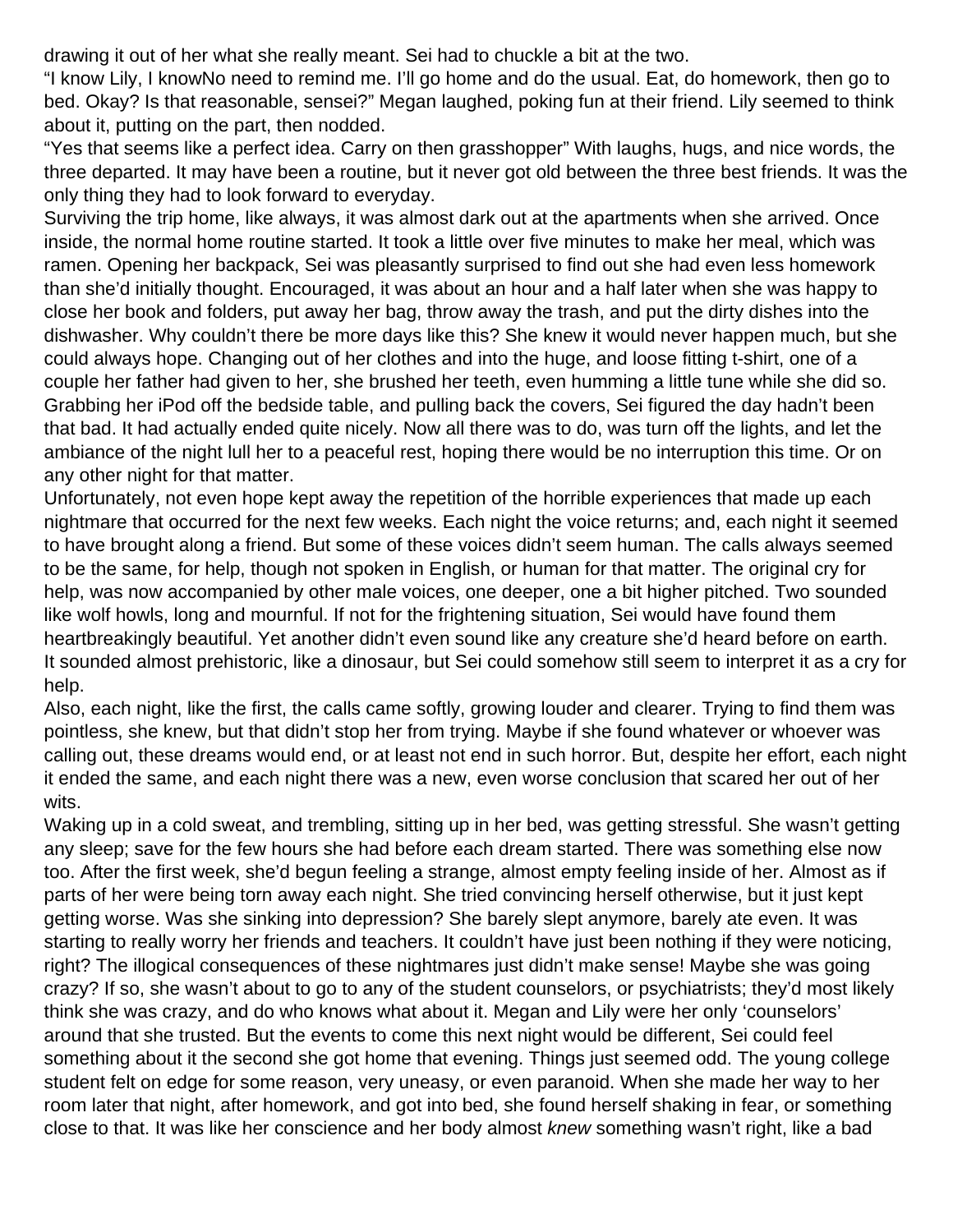drawing it out of her what she really meant. Sei had to chuckle a bit at the two.

"I know Lily, I knowNo need to remind me. I'll go home and do the usual. Eat, do homework, then go to bed. Okay? Is that reasonable, sensei?" Megan laughed, poking fun at their friend. Lily seemed to think about it, putting on the part, then nodded.

"Yes that seems like a perfect idea. Carry on then grasshopper" With laughs, hugs, and nice words, the three departed. It may have been a routine, but it never got old between the three best friends. It was the only thing they had to look forward to everyday.

Surviving the trip home, like always, it was almost dark out at the apartments when she arrived. Once inside, the normal home routine started. It took a little over five minutes to make her meal, which was ramen. Opening her backpack, Sei was pleasantly surprised to find out she had even less homework than she'd initially thought. Encouraged, it was about an hour and a half later when she was happy to close her book and folders, put away her bag, throw away the trash, and put the dirty dishes into the dishwasher. Why couldn't there be more days like this? She knew it would never happen much, but she could always hope. Changing out of her clothes and into the huge, and loose fitting t-shirt, one of a couple her father had given to her, she brushed her teeth, even humming a little tune while she did so. Grabbing her iPod off the bedside table, and pulling back the covers, Sei figured the day hadn't been that bad. It had actually ended quite nicely. Now all there was to do, was turn off the lights, and let the ambiance of the night lull her to a peaceful rest, hoping there would be no interruption this time. Or on any other night for that matter.

Unfortunately, not even hope kept away the repetition of the horrible experiences that made up each nightmare that occurred for the next few weeks. Each night the voice returns; and, each night it seemed to have brought along a friend. But some of these voices didn't seem human. The calls always seemed to be the same, for help, though not spoken in English, or human for that matter. The original cry for help, was now accompanied by other male voices, one deeper, one a bit higher pitched. Two sounded like wolf howls, long and mournful. If not for the frightening situation, Sei would have found them heartbreakingly beautiful. Yet another didn't even sound like any creature she'd heard before on earth. It sounded almost prehistoric, like a dinosaur, but Sei could somehow still seem to interpret it as a cry for help.

Also, each night, like the first, the calls came softly, growing louder and clearer. Trying to find them was pointless, she knew, but that didn't stop her from trying. Maybe if she found whatever or whoever was calling out, these dreams would end, or at least not end in such horror. But, despite her effort, each night it ended the same, and each night there was a new, even worse conclusion that scared her out of her wits.

Waking up in a cold sweat, and trembling, sitting up in her bed, was getting stressful. She wasn't getting any sleep; save for the few hours she had before each dream started. There was something else now too. After the first week, she'd begun feeling a strange, almost empty feeling inside of her. Almost as if parts of her were being torn away each night. She tried convincing herself otherwise, but it just kept getting worse. Was she sinking into depression? She barely slept anymore, barely ate even. It was starting to really worry her friends and teachers. It couldn't have just been nothing if they were noticing, right? The illogical consequences of these nightmares just didn't make sense! Maybe she was going crazy? If so, she wasn't about to go to any of the student counselors, or psychiatrists; they'd most likely think she was crazy, and do who knows what about it. Megan and Lily were her only 'counselors' around that she trusted. But the events to come this next night would be different, Sei could feel something about it the second she got home that evening. Things just seemed odd. The young college student felt on edge for some reason, very uneasy, or even paranoid. When she made her way to her room later that night, after homework, and got into bed, she found herself shaking in fear, or something close to that. It was like her conscience and her body almost knew something wasn't right, like a bad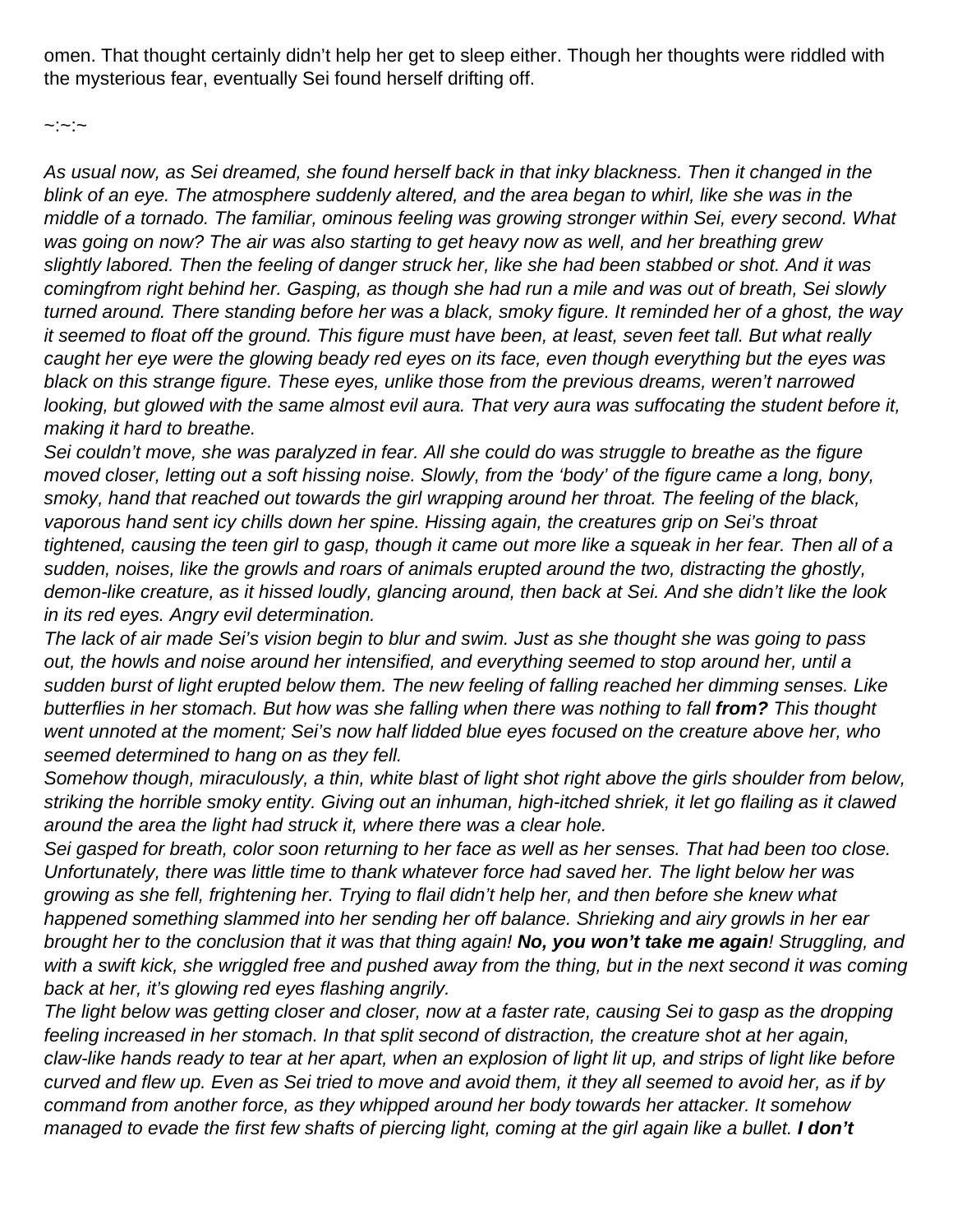omen. That thought certainly didn't help her get to sleep either. Though her thoughts were riddled with the mysterious fear, eventually Sei found herself drifting off.

 $\sim$ : $\sim$ : $\sim$ 

As usual now, as Sei dreamed, she found herself back in that inky blackness. Then it changed in the blink of an eye. The atmosphere suddenly altered, and the area began to whirl, like she was in the middle of a tornado. The familiar, ominous feeling was growing stronger within Sei, every second. What was going on now? The air was also starting to get heavy now as well, and her breathing grew slightly labored. Then the feeling of danger struck her, like she had been stabbed or shot. And it was comingfrom right behind her. Gasping, as though she had run a mile and was out of breath, Sei slowly turned around. There standing before her was a black, smoky figure. It reminded her of a ghost, the way it seemed to float off the ground. This figure must have been, at least, seven feet tall. But what really caught her eye were the glowing beady red eyes on its face, even though everything but the eyes was black on this strange figure. These eyes, unlike those from the previous dreams, weren't narrowed looking, but glowed with the same almost evil aura. That very aura was suffocating the student before it, making it hard to breathe.

Sei couldn't move, she was paralyzed in fear. All she could do was struggle to breathe as the figure moved closer, letting out a soft hissing noise. Slowly, from the 'body' of the figure came a long, bony, smoky, hand that reached out towards the girl wrapping around her throat. The feeling of the black, vaporous hand sent icy chills down her spine. Hissing again, the creatures grip on Sei's throat tightened, causing the teen girl to gasp, though it came out more like a squeak in her fear. Then all of a sudden, noises, like the growls and roars of animals erupted around the two, distracting the ghostly, demon-like creature, as it hissed loudly, glancing around, then back at Sei. And she didn't like the look in its red eyes. Angry evil determination.

The lack of air made Sei's vision begin to blur and swim. Just as she thought she was going to pass out, the howls and noise around her intensified, and everything seemed to stop around her, until a sudden burst of light erupted below them. The new feeling of falling reached her dimming senses. Like butterflies in her stomach. But how was she falling when there was nothing to fall **from?** This thought went unnoted at the moment; Sei's now half lidded blue eyes focused on the creature above her, who seemed determined to hang on as they fell.

Somehow though, miraculously, a thin, white blast of light shot right above the girls shoulder from below, striking the horrible smoky entity. Giving out an inhuman, high-itched shriek, it let go flailing as it clawed around the area the light had struck it, where there was a clear hole.

Sei gasped for breath, color soon returning to her face as well as her senses. That had been too close. Unfortunately, there was little time to thank whatever force had saved her. The light below her was growing as she fell, frightening her. Trying to flail didn't help her, and then before she knew what happened something slammed into her sending her off balance. Shrieking and airy growls in her ear brought her to the conclusion that it was that thing again! **No, you won't take me again**! Struggling, and with a swift kick, she wriggled free and pushed away from the thing, but in the next second it was coming back at her, it's glowing red eyes flashing angrily.

The light below was getting closer and closer, now at a faster rate, causing Sei to gasp as the dropping feeling increased in her stomach. In that split second of distraction, the creature shot at her again, claw-like hands ready to tear at her apart, when an explosion of light lit up, and strips of light like before curved and flew up. Even as Sei tried to move and avoid them, it they all seemed to avoid her, as if by command from another force, as they whipped around her body towards her attacker. It somehow managed to evade the first few shafts of piercing light, coming at the girl again like a bullet. **I don't**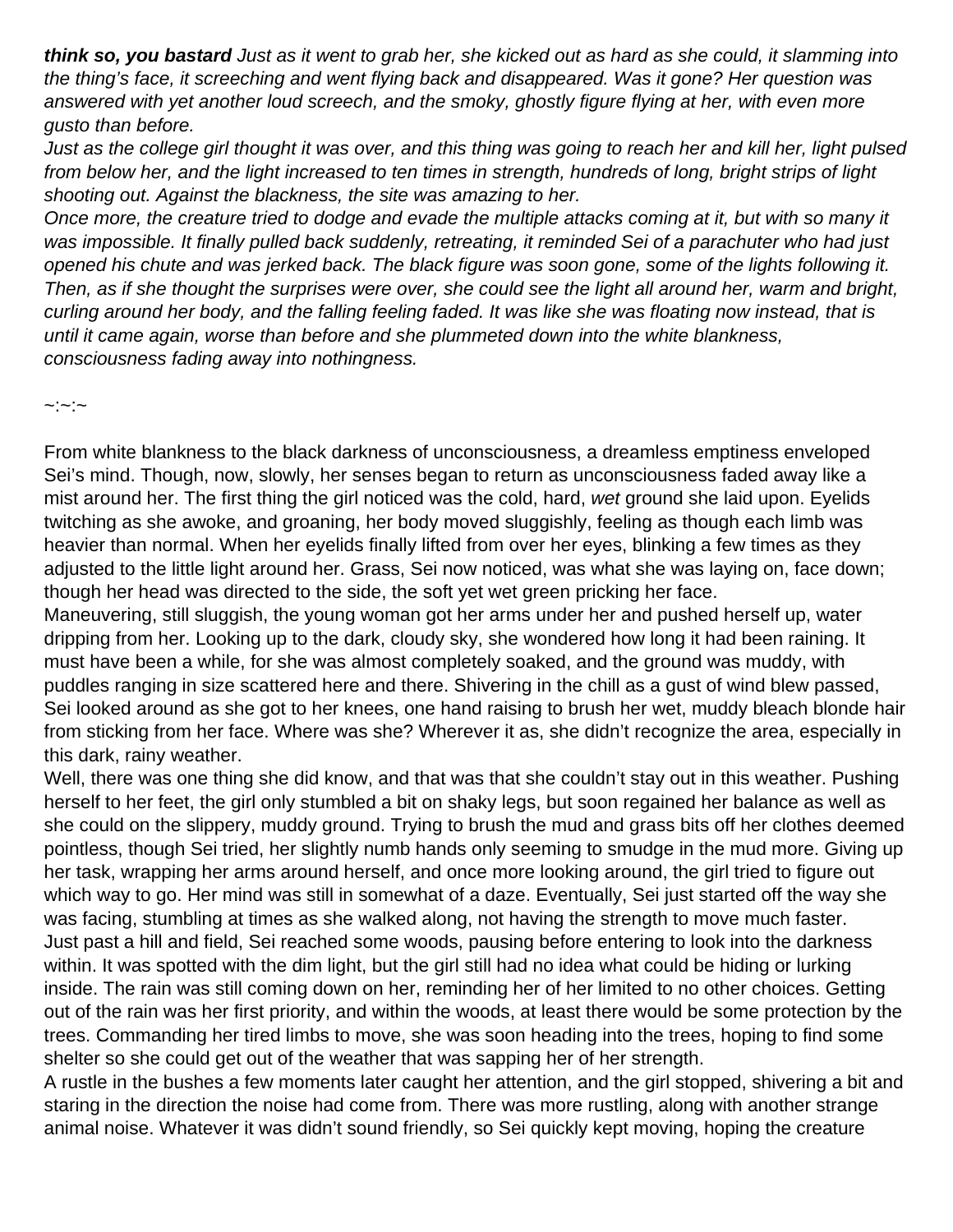**think so, you bastard** Just as it went to grab her, she kicked out as hard as she could, it slamming into the thing's face, it screeching and went flying back and disappeared. Was it gone? Her question was answered with yet another loud screech, and the smoky, ghostly figure flying at her, with even more gusto than before.

Just as the college girl thought it was over, and this thing was going to reach her and kill her, light pulsed from below her, and the light increased to ten times in strength, hundreds of long, bright strips of light shooting out. Against the blackness, the site was amazing to her.

Once more, the creature tried to dodge and evade the multiple attacks coming at it, but with so many it was impossible. It finally pulled back suddenly, retreating, it reminded Sei of a parachuter who had just opened his chute and was jerked back. The black figure was soon gone, some of the lights following it. Then, as if she thought the surprises were over, she could see the light all around her, warm and bright, curling around her body, and the falling feeling faded. It was like she was floating now instead, that is until it came again, worse than before and she plummeted down into the white blankness, consciousness fading away into nothingness.

 $\sim$ : $\sim$ 

From white blankness to the black darkness of unconsciousness, a dreamless emptiness enveloped Sei's mind. Though, now, slowly, her senses began to return as unconsciousness faded away like a mist around her. The first thing the girl noticed was the cold, hard, wet ground she laid upon. Eyelids twitching as she awoke, and groaning, her body moved sluggishly, feeling as though each limb was heavier than normal. When her eyelids finally lifted from over her eyes, blinking a few times as they adjusted to the little light around her. Grass, Sei now noticed, was what she was laying on, face down; though her head was directed to the side, the soft yet wet green pricking her face.

Maneuvering, still sluggish, the young woman got her arms under her and pushed herself up, water dripping from her. Looking up to the dark, cloudy sky, she wondered how long it had been raining. It must have been a while, for she was almost completely soaked, and the ground was muddy, with puddles ranging in size scattered here and there. Shivering in the chill as a gust of wind blew passed, Sei looked around as she got to her knees, one hand raising to brush her wet, muddy bleach blonde hair from sticking from her face. Where was she? Wherever it as, she didn't recognize the area, especially in this dark, rainy weather.

Well, there was one thing she did know, and that was that she couldn't stay out in this weather. Pushing herself to her feet, the girl only stumbled a bit on shaky legs, but soon regained her balance as well as she could on the slippery, muddy ground. Trying to brush the mud and grass bits off her clothes deemed pointless, though Sei tried, her slightly numb hands only seeming to smudge in the mud more. Giving up her task, wrapping her arms around herself, and once more looking around, the girl tried to figure out which way to go. Her mind was still in somewhat of a daze. Eventually, Sei just started off the way she was facing, stumbling at times as she walked along, not having the strength to move much faster. Just past a hill and field, Sei reached some woods, pausing before entering to look into the darkness within. It was spotted with the dim light, but the girl still had no idea what could be hiding or lurking inside. The rain was still coming down on her, reminding her of her limited to no other choices. Getting out of the rain was her first priority, and within the woods, at least there would be some protection by the trees. Commanding her tired limbs to move, she was soon heading into the trees, hoping to find some shelter so she could get out of the weather that was sapping her of her strength.

A rustle in the bushes a few moments later caught her attention, and the girl stopped, shivering a bit and staring in the direction the noise had come from. There was more rustling, along with another strange animal noise. Whatever it was didn't sound friendly, so Sei quickly kept moving, hoping the creature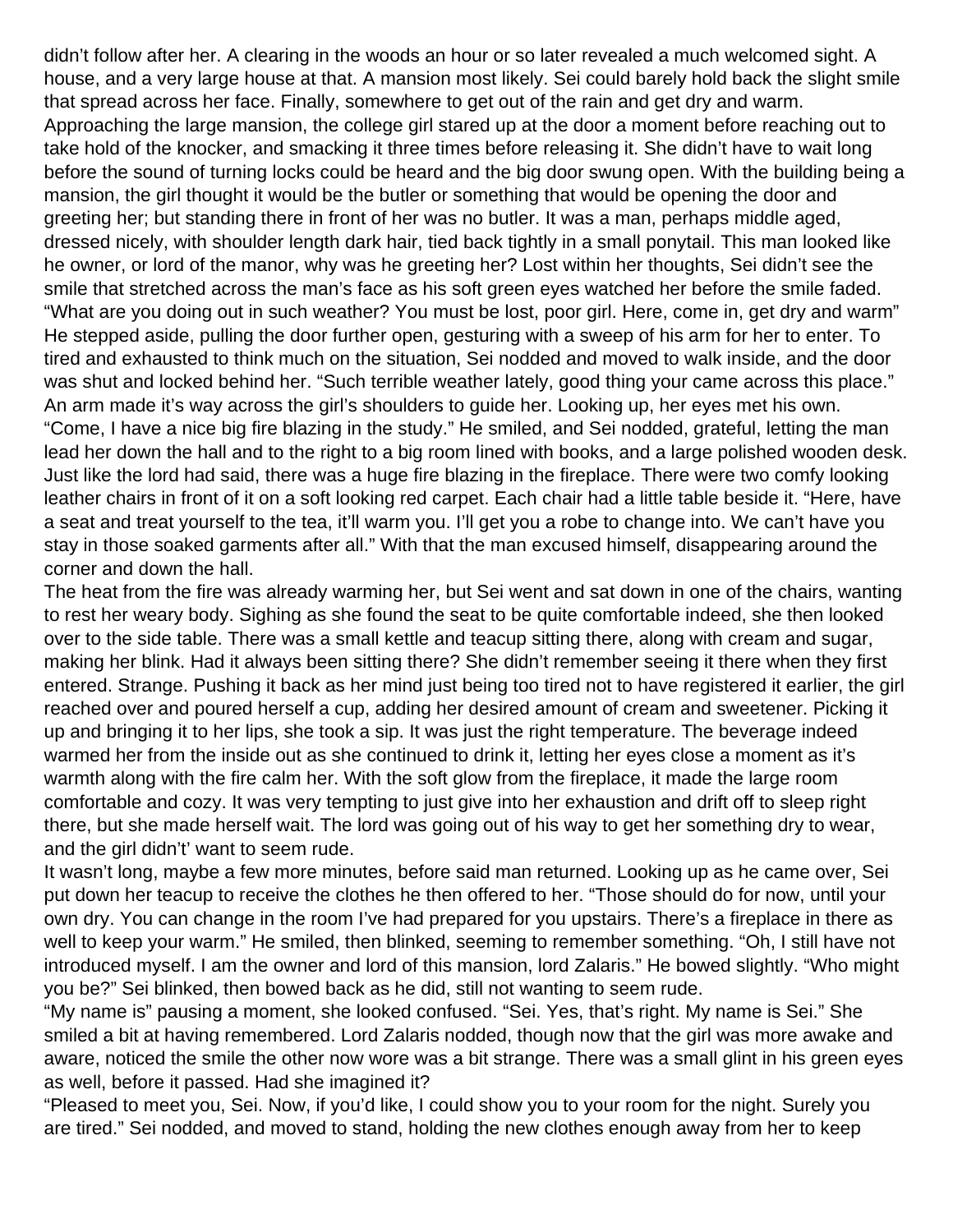didn't follow after her. A clearing in the woods an hour or so later revealed a much welcomed sight. A house, and a very large house at that. A mansion most likely. Sei could barely hold back the slight smile that spread across her face. Finally, somewhere to get out of the rain and get dry and warm. Approaching the large mansion, the college girl stared up at the door a moment before reaching out to take hold of the knocker, and smacking it three times before releasing it. She didn't have to wait long before the sound of turning locks could be heard and the big door swung open. With the building being a mansion, the girl thought it would be the butler or something that would be opening the door and greeting her; but standing there in front of her was no butler. It was a man, perhaps middle aged, dressed nicely, with shoulder length dark hair, tied back tightly in a small ponytail. This man looked like he owner, or lord of the manor, why was he greeting her? Lost within her thoughts, Sei didn't see the smile that stretched across the man's face as his soft green eyes watched her before the smile faded. "What are you doing out in such weather? You must be lost, poor girl. Here, come in, get dry and warm" He stepped aside, pulling the door further open, gesturing with a sweep of his arm for her to enter. To tired and exhausted to think much on the situation, Sei nodded and moved to walk inside, and the door was shut and locked behind her. "Such terrible weather lately, good thing your came across this place." An arm made it's way across the girl's shoulders to guide her. Looking up, her eyes met his own. "Come, I have a nice big fire blazing in the study." He smiled, and Sei nodded, grateful, letting the man lead her down the hall and to the right to a big room lined with books, and a large polished wooden desk. Just like the lord had said, there was a huge fire blazing in the fireplace. There were two comfy looking leather chairs in front of it on a soft looking red carpet. Each chair had a little table beside it. "Here, have a seat and treat yourself to the tea, it'll warm you. I'll get you a robe to change into. We can't have you stay in those soaked garments after all." With that the man excused himself, disappearing around the corner and down the hall.

The heat from the fire was already warming her, but Sei went and sat down in one of the chairs, wanting to rest her weary body. Sighing as she found the seat to be quite comfortable indeed, she then looked over to the side table. There was a small kettle and teacup sitting there, along with cream and sugar, making her blink. Had it always been sitting there? She didn't remember seeing it there when they first entered. Strange. Pushing it back as her mind just being too tired not to have registered it earlier, the girl reached over and poured herself a cup, adding her desired amount of cream and sweetener. Picking it up and bringing it to her lips, she took a sip. It was just the right temperature. The beverage indeed warmed her from the inside out as she continued to drink it, letting her eyes close a moment as it's warmth along with the fire calm her. With the soft glow from the fireplace, it made the large room comfortable and cozy. It was very tempting to just give into her exhaustion and drift off to sleep right there, but she made herself wait. The lord was going out of his way to get her something dry to wear, and the girl didn't' want to seem rude.

It wasn't long, maybe a few more minutes, before said man returned. Looking up as he came over, Sei put down her teacup to receive the clothes he then offered to her. "Those should do for now, until your own dry. You can change in the room I've had prepared for you upstairs. There's a fireplace in there as well to keep your warm." He smiled, then blinked, seeming to remember something. "Oh, I still have not introduced myself. I am the owner and lord of this mansion, lord Zalaris." He bowed slightly. "Who might you be?" Sei blinked, then bowed back as he did, still not wanting to seem rude.

"My name is" pausing a moment, she looked confused. "Sei. Yes, that's right. My name is Sei." She smiled a bit at having remembered. Lord Zalaris nodded, though now that the girl was more awake and aware, noticed the smile the other now wore was a bit strange. There was a small glint in his green eyes as well, before it passed. Had she imagined it?

"Pleased to meet you, Sei. Now, if you'd like, I could show you to your room for the night. Surely you are tired." Sei nodded, and moved to stand, holding the new clothes enough away from her to keep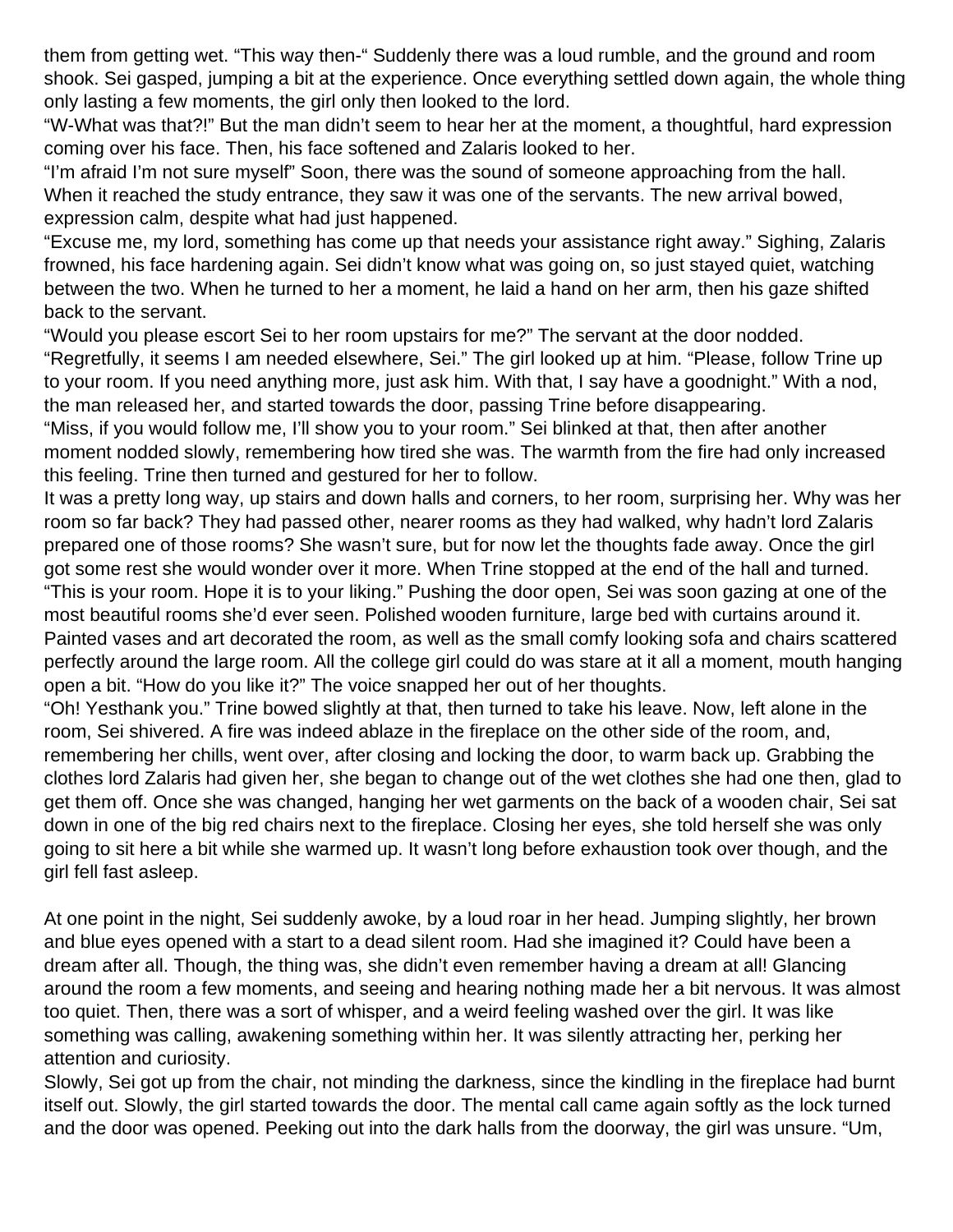them from getting wet. "This way then-" Suddenly there was a loud rumble, and the ground and room shook. Sei gasped, jumping a bit at the experience. Once everything settled down again, the whole thing only lasting a few moments, the girl only then looked to the lord.

"W-What was that?!" But the man didn't seem to hear her at the moment, a thoughtful, hard expression coming over his face. Then, his face softened and Zalaris looked to her.

"I'm afraid I'm not sure myself" Soon, there was the sound of someone approaching from the hall. When it reached the study entrance, they saw it was one of the servants. The new arrival bowed, expression calm, despite what had just happened.

"Excuse me, my lord, something has come up that needs your assistance right away." Sighing, Zalaris frowned, his face hardening again. Sei didn't know what was going on, so just stayed quiet, watching between the two. When he turned to her a moment, he laid a hand on her arm, then his gaze shifted back to the servant.

"Would you please escort Sei to her room upstairs for me?" The servant at the door nodded. "Regretfully, it seems I am needed elsewhere, Sei." The girl looked up at him. "Please, follow Trine up to your room. If you need anything more, just ask him. With that, I say have a goodnight." With a nod, the man released her, and started towards the door, passing Trine before disappearing.

"Miss, if you would follow me, I'll show you to your room." Sei blinked at that, then after another moment nodded slowly, remembering how tired she was. The warmth from the fire had only increased this feeling. Trine then turned and gestured for her to follow.

It was a pretty long way, up stairs and down halls and corners, to her room, surprising her. Why was her room so far back? They had passed other, nearer rooms as they had walked, why hadn't lord Zalaris prepared one of those rooms? She wasn't sure, but for now let the thoughts fade away. Once the girl got some rest she would wonder over it more. When Trine stopped at the end of the hall and turned.

"This is your room. Hope it is to your liking." Pushing the door open, Sei was soon gazing at one of the most beautiful rooms she'd ever seen. Polished wooden furniture, large bed with curtains around it. Painted vases and art decorated the room, as well as the small comfy looking sofa and chairs scattered perfectly around the large room. All the college girl could do was stare at it all a moment, mouth hanging open a bit. "How do you like it?" The voice snapped her out of her thoughts.

"Oh! Yesthank you." Trine bowed slightly at that, then turned to take his leave. Now, left alone in the room, Sei shivered. A fire was indeed ablaze in the fireplace on the other side of the room, and, remembering her chills, went over, after closing and locking the door, to warm back up. Grabbing the clothes lord Zalaris had given her, she began to change out of the wet clothes she had one then, glad to get them off. Once she was changed, hanging her wet garments on the back of a wooden chair, Sei sat down in one of the big red chairs next to the fireplace. Closing her eyes, she told herself she was only going to sit here a bit while she warmed up. It wasn't long before exhaustion took over though, and the girl fell fast asleep.

At one point in the night, Sei suddenly awoke, by a loud roar in her head. Jumping slightly, her brown and blue eyes opened with a start to a dead silent room. Had she imagined it? Could have been a dream after all. Though, the thing was, she didn't even remember having a dream at all! Glancing around the room a few moments, and seeing and hearing nothing made her a bit nervous. It was almost too quiet. Then, there was a sort of whisper, and a weird feeling washed over the girl. It was like something was calling, awakening something within her. It was silently attracting her, perking her attention and curiosity.

Slowly, Sei got up from the chair, not minding the darkness, since the kindling in the fireplace had burnt itself out. Slowly, the girl started towards the door. The mental call came again softly as the lock turned and the door was opened. Peeking out into the dark halls from the doorway, the girl was unsure. "Um,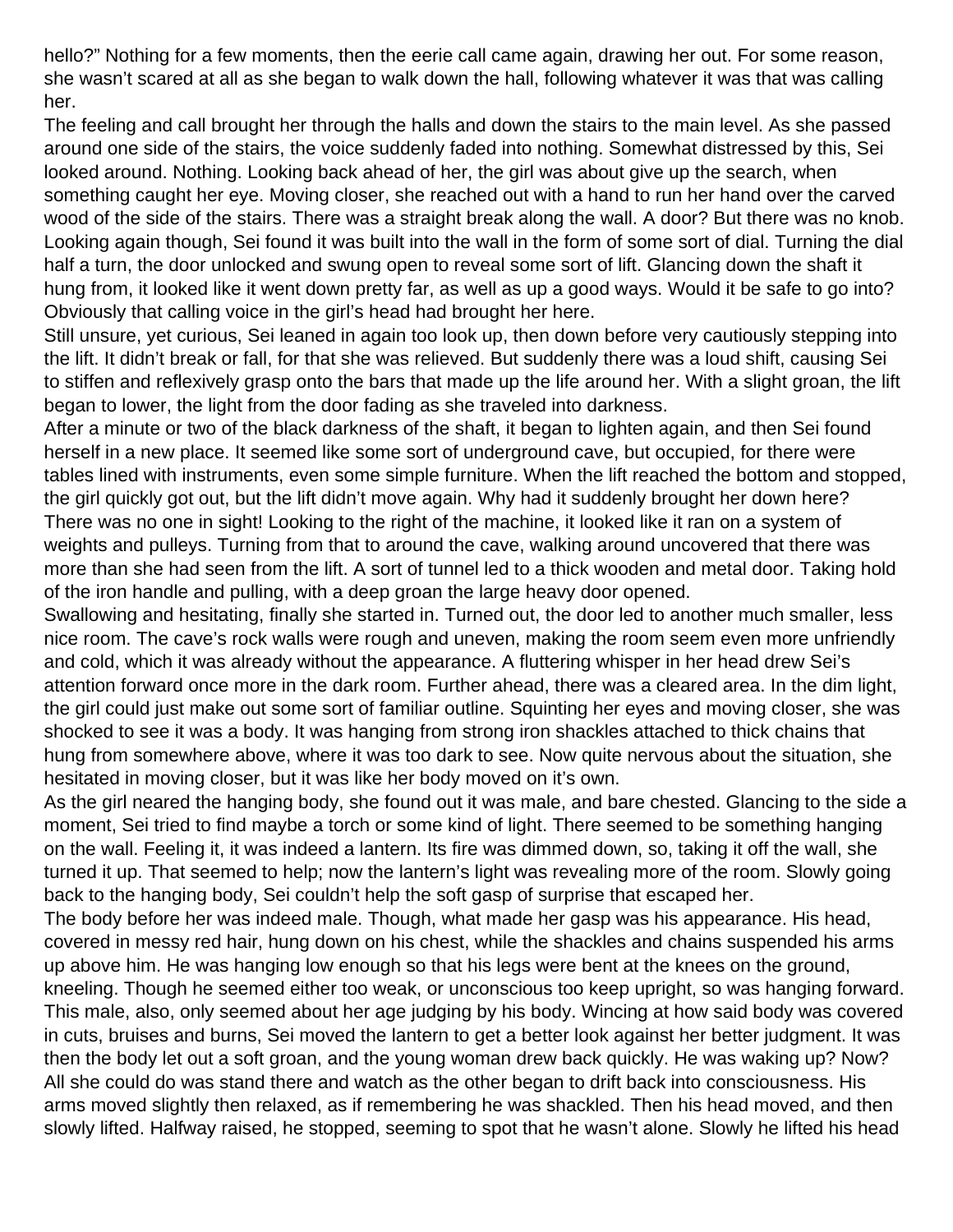hello?" Nothing for a few moments, then the eerie call came again, drawing her out. For some reason, she wasn't scared at all as she began to walk down the hall, following whatever it was that was calling her.

The feeling and call brought her through the halls and down the stairs to the main level. As she passed around one side of the stairs, the voice suddenly faded into nothing. Somewhat distressed by this, Sei looked around. Nothing. Looking back ahead of her, the girl was about give up the search, when something caught her eye. Moving closer, she reached out with a hand to run her hand over the carved wood of the side of the stairs. There was a straight break along the wall. A door? But there was no knob. Looking again though, Sei found it was built into the wall in the form of some sort of dial. Turning the dial half a turn, the door unlocked and swung open to reveal some sort of lift. Glancing down the shaft it hung from, it looked like it went down pretty far, as well as up a good ways. Would it be safe to go into? Obviously that calling voice in the girl's head had brought her here.

Still unsure, yet curious, Sei leaned in again too look up, then down before very cautiously stepping into the lift. It didn't break or fall, for that she was relieved. But suddenly there was a loud shift, causing Sei to stiffen and reflexively grasp onto the bars that made up the life around her. With a slight groan, the lift began to lower, the light from the door fading as she traveled into darkness.

After a minute or two of the black darkness of the shaft, it began to lighten again, and then Sei found herself in a new place. It seemed like some sort of underground cave, but occupied, for there were tables lined with instruments, even some simple furniture. When the lift reached the bottom and stopped, the girl quickly got out, but the lift didn't move again. Why had it suddenly brought her down here? There was no one in sight! Looking to the right of the machine, it looked like it ran on a system of weights and pulleys. Turning from that to around the cave, walking around uncovered that there was more than she had seen from the lift. A sort of tunnel led to a thick wooden and metal door. Taking hold of the iron handle and pulling, with a deep groan the large heavy door opened.

Swallowing and hesitating, finally she started in. Turned out, the door led to another much smaller, less nice room. The cave's rock walls were rough and uneven, making the room seem even more unfriendly and cold, which it was already without the appearance. A fluttering whisper in her head drew Sei's attention forward once more in the dark room. Further ahead, there was a cleared area. In the dim light, the girl could just make out some sort of familiar outline. Squinting her eyes and moving closer, she was shocked to see it was a body. It was hanging from strong iron shackles attached to thick chains that hung from somewhere above, where it was too dark to see. Now quite nervous about the situation, she hesitated in moving closer, but it was like her body moved on it's own.

As the girl neared the hanging body, she found out it was male, and bare chested. Glancing to the side a moment, Sei tried to find maybe a torch or some kind of light. There seemed to be something hanging on the wall. Feeling it, it was indeed a lantern. Its fire was dimmed down, so, taking it off the wall, she turned it up. That seemed to help; now the lantern's light was revealing more of the room. Slowly going back to the hanging body, Sei couldn't help the soft gasp of surprise that escaped her.

The body before her was indeed male. Though, what made her gasp was his appearance. His head, covered in messy red hair, hung down on his chest, while the shackles and chains suspended his arms up above him. He was hanging low enough so that his legs were bent at the knees on the ground, kneeling. Though he seemed either too weak, or unconscious too keep upright, so was hanging forward. This male, also, only seemed about her age judging by his body. Wincing at how said body was covered in cuts, bruises and burns, Sei moved the lantern to get a better look against her better judgment. It was then the body let out a soft groan, and the young woman drew back quickly. He was waking up? Now? All she could do was stand there and watch as the other began to drift back into consciousness. His arms moved slightly then relaxed, as if remembering he was shackled. Then his head moved, and then slowly lifted. Halfway raised, he stopped, seeming to spot that he wasn't alone. Slowly he lifted his head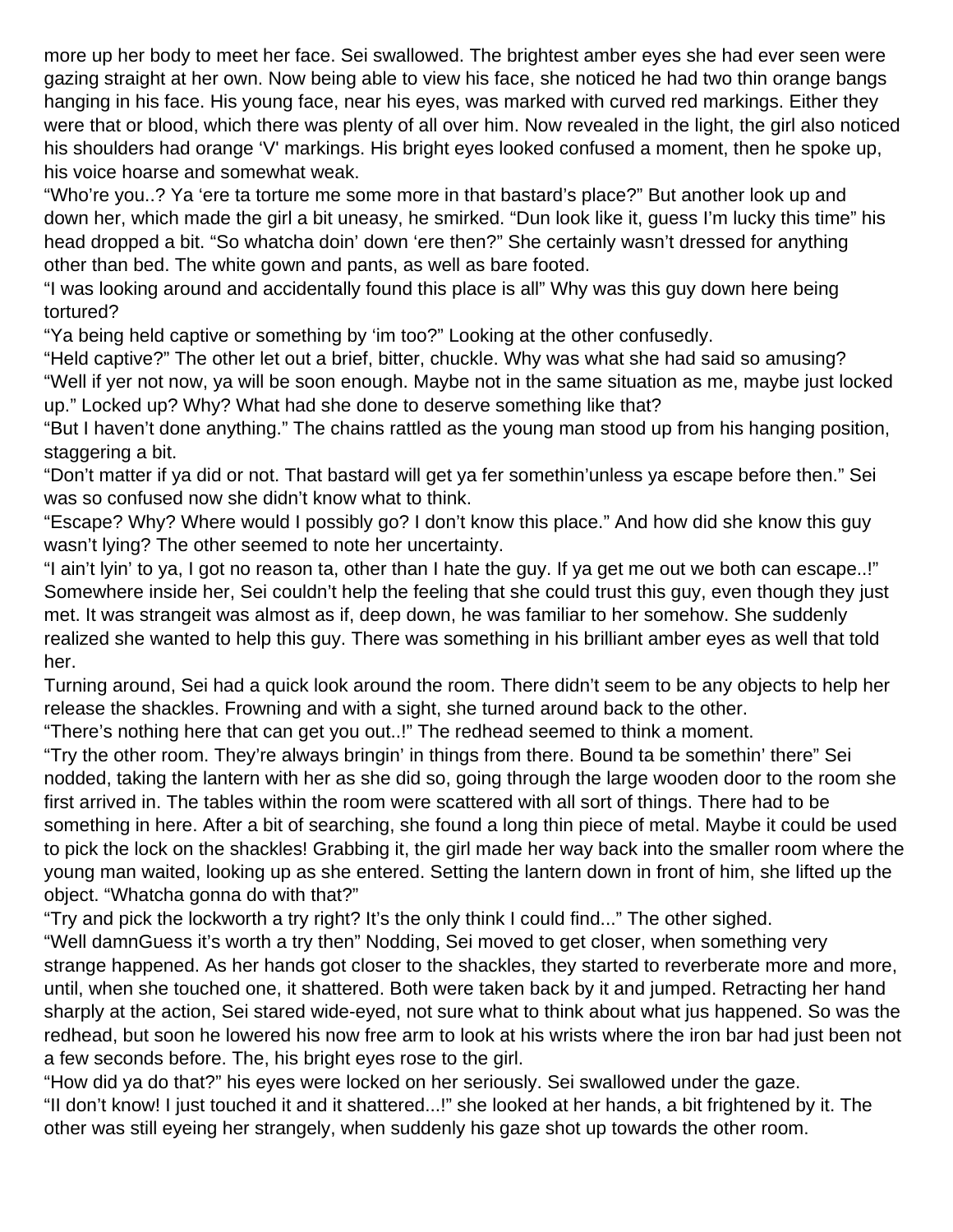more up her body to meet her face. Sei swallowed. The brightest amber eyes she had ever seen were gazing straight at her own. Now being able to view his face, she noticed he had two thin orange bangs hanging in his face. His young face, near his eyes, was marked with curved red markings. Either they were that or blood, which there was plenty of all over him. Now revealed in the light, the girl also noticed his shoulders had orange 'V' markings. His bright eyes looked confused a moment, then he spoke up, his voice hoarse and somewhat weak.

"Who're you..? Ya 'ere ta torture me some more in that bastard's place?" But another look up and down her, which made the girl a bit uneasy, he smirked. "Dun look like it, guess I'm lucky this time" his head dropped a bit. "So whatcha doin' down 'ere then?" She certainly wasn't dressed for anything other than bed. The white gown and pants, as well as bare footed.

"I was looking around and accidentally found this place is all" Why was this guy down here being tortured?

"Ya being held captive or something by 'im too?" Looking at the other confusedly.

"Held captive?" The other let out a brief, bitter, chuckle. Why was what she had said so amusing? "Well if yer not now, ya will be soon enough. Maybe not in the same situation as me, maybe just locked up." Locked up? Why? What had she done to deserve something like that?

"But I haven't done anything." The chains rattled as the young man stood up from his hanging position, staggering a bit.

"Don't matter if ya did or not. That bastard will get ya fer somethin'unless ya escape before then." Sei was so confused now she didn't know what to think.

"Escape? Why? Where would I possibly go? I don't know this place." And how did she know this guy wasn't lying? The other seemed to note her uncertainty.

"I ain't lyin' to ya, I got no reason ta, other than I hate the guy. If ya get me out we both can escape..!" Somewhere inside her, Sei couldn't help the feeling that she could trust this guy, even though they just met. It was strangeit was almost as if, deep down, he was familiar to her somehow. She suddenly realized she wanted to help this guy. There was something in his brilliant amber eyes as well that told her.

Turning around, Sei had a quick look around the room. There didn't seem to be any objects to help her release the shackles. Frowning and with a sight, she turned around back to the other.

"There's nothing here that can get you out..!" The redhead seemed to think a moment.

"Try the other room. They're always bringin' in things from there. Bound ta be somethin' there" Sei nodded, taking the lantern with her as she did so, going through the large wooden door to the room she first arrived in. The tables within the room were scattered with all sort of things. There had to be something in here. After a bit of searching, she found a long thin piece of metal. Maybe it could be used to pick the lock on the shackles! Grabbing it, the girl made her way back into the smaller room where the young man waited, looking up as she entered. Setting the lantern down in front of him, she lifted up the object. "Whatcha gonna do with that?"

"Try and pick the lockworth a try right? It's the only think I could find..." The other sighed.

"Well damnGuess it's worth a try then" Nodding, Sei moved to get closer, when something very strange happened. As her hands got closer to the shackles, they started to reverberate more and more, until, when she touched one, it shattered. Both were taken back by it and jumped. Retracting her hand sharply at the action, Sei stared wide-eyed, not sure what to think about what jus happened. So was the redhead, but soon he lowered his now free arm to look at his wrists where the iron bar had just been not a few seconds before. The, his bright eyes rose to the girl.

"How did ya do that?" his eyes were locked on her seriously. Sei swallowed under the gaze. "II don't know! I just touched it and it shattered...!" she looked at her hands, a bit frightened by it. The other was still eyeing her strangely, when suddenly his gaze shot up towards the other room.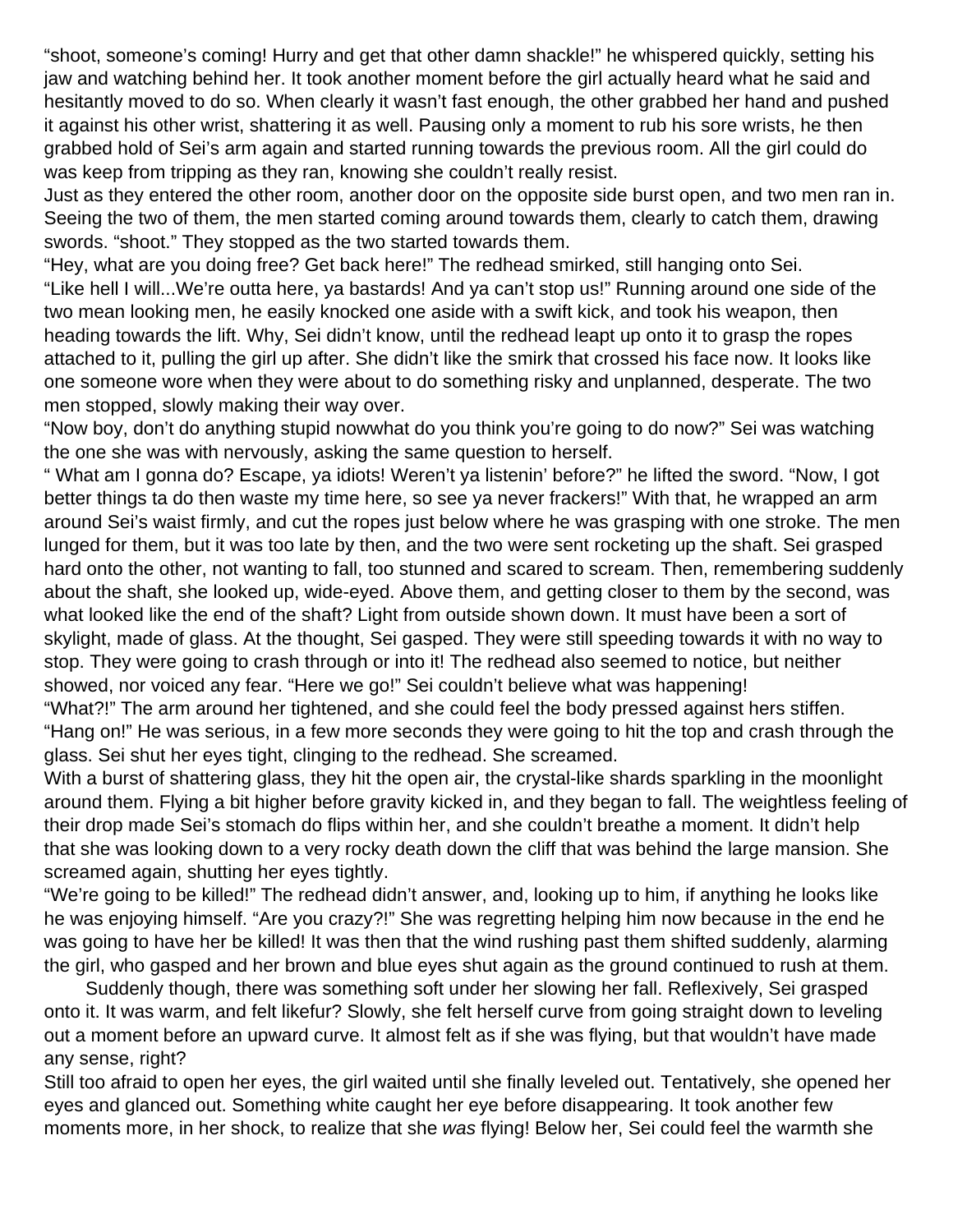"shoot, someone's coming! Hurry and get that other damn shackle!" he whispered quickly, setting his jaw and watching behind her. It took another moment before the girl actually heard what he said and hesitantly moved to do so. When clearly it wasn't fast enough, the other grabbed her hand and pushed it against his other wrist, shattering it as well. Pausing only a moment to rub his sore wrists, he then grabbed hold of Sei's arm again and started running towards the previous room. All the girl could do was keep from tripping as they ran, knowing she couldn't really resist.

Just as they entered the other room, another door on the opposite side burst open, and two men ran in. Seeing the two of them, the men started coming around towards them, clearly to catch them, drawing swords. "shoot." They stopped as the two started towards them.

"Hey, what are you doing free? Get back here!" The redhead smirked, still hanging onto Sei. "Like hell I will...We're outta here, ya bastards! And ya can't stop us!" Running around one side of the two mean looking men, he easily knocked one aside with a swift kick, and took his weapon, then heading towards the lift. Why, Sei didn't know, until the redhead leapt up onto it to grasp the ropes attached to it, pulling the girl up after. She didn't like the smirk that crossed his face now. It looks like one someone wore when they were about to do something risky and unplanned, desperate. The two men stopped, slowly making their way over.

"Now boy, don't do anything stupid nowwhat do you think you're going to do now?" Sei was watching the one she was with nervously, asking the same question to herself.

" What am I gonna do? Escape, ya idiots! Weren't ya listenin' before?" he lifted the sword. "Now, I got better things ta do then waste my time here, so see ya never frackers!" With that, he wrapped an arm around Sei's waist firmly, and cut the ropes just below where he was grasping with one stroke. The men lunged for them, but it was too late by then, and the two were sent rocketing up the shaft. Sei grasped hard onto the other, not wanting to fall, too stunned and scared to scream. Then, remembering suddenly about the shaft, she looked up, wide-eyed. Above them, and getting closer to them by the second, was what looked like the end of the shaft? Light from outside shown down. It must have been a sort of skylight, made of glass. At the thought, Sei gasped. They were still speeding towards it with no way to stop. They were going to crash through or into it! The redhead also seemed to notice, but neither showed, nor voiced any fear. "Here we go!" Sei couldn't believe what was happening!

"What?!" The arm around her tightened, and she could feel the body pressed against hers stiffen. "Hang on!" He was serious, in a few more seconds they were going to hit the top and crash through the glass. Sei shut her eyes tight, clinging to the redhead. She screamed.

With a burst of shattering glass, they hit the open air, the crystal-like shards sparkling in the moonlight around them. Flying a bit higher before gravity kicked in, and they began to fall. The weightless feeling of their drop made Sei's stomach do flips within her, and she couldn't breathe a moment. It didn't help that she was looking down to a very rocky death down the cliff that was behind the large mansion. She screamed again, shutting her eyes tightly.

"We're going to be killed!" The redhead didn't answer, and, looking up to him, if anything he looks like he was enjoying himself. "Are you crazy?!" She was regretting helping him now because in the end he was going to have her be killed! It was then that the wind rushing past them shifted suddenly, alarming the girl, who gasped and her brown and blue eyes shut again as the ground continued to rush at them.

 Suddenly though, there was something soft under her slowing her fall. Reflexively, Sei grasped onto it. It was warm, and felt likefur? Slowly, she felt herself curve from going straight down to leveling out a moment before an upward curve. It almost felt as if she was flying, but that wouldn't have made any sense, right?

Still too afraid to open her eyes, the girl waited until she finally leveled out. Tentatively, she opened her eyes and glanced out. Something white caught her eye before disappearing. It took another few moments more, in her shock, to realize that she was flying! Below her, Sei could feel the warmth she